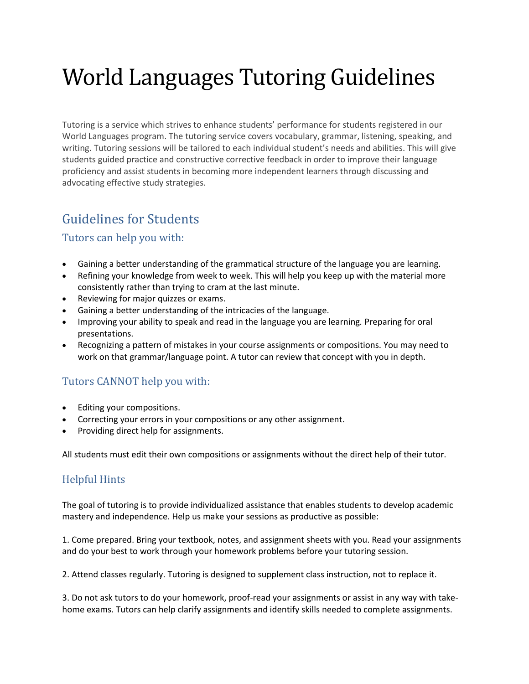# World Languages Tutoring Guidelines

Tutoring is a service which strives to enhance students' performance for students registered in our World Languages program. The tutoring service covers vocabulary, grammar, listening, speaking, and writing. Tutoring sessions will be tailored to each individual student's needs and abilities. This will give students guided practice and constructive corrective feedback in order to improve their language proficiency and assist students in becoming more independent learners through discussing and advocating effective study strategies.

# Guidelines for Students

#### Tutors can help you with:

- Gaining a better understanding of the grammatical structure of the language you are learning.
- Refining your knowledge from week to week. This will help you keep up with the material more consistently rather than trying to cram at the last minute.
- Reviewing for major quizzes or exams.
- Gaining a better understanding of the intricacies of the language.
- Improving your ability to speak and read in the language you are learning*.* Preparing for oral presentations.
- Recognizing a pattern of mistakes in your course assignments or compositions. You may need to work on that grammar/language point. A tutor can review that concept with you in depth.

## Tutors CANNOT help you with:

- Editing your compositions.
- Correcting your errors in your compositions or any other assignment.
- Providing direct help for assignments.

All students must edit their own compositions or assignments without the direct help of their tutor.

#### Helpful Hints

The goal of tutoring is to provide individualized assistance that enables students to develop academic mastery and independence. Help us make your sessions as productive as possible:

1. Come prepared. Bring your textbook, notes, and assignment sheets with you. Read your assignments and do your best to work through your homework problems before your tutoring session.

2. Attend classes regularly. Tutoring is designed to supplement class instruction, not to replace it.

3. Do not ask tutors to do your homework, proof-read your assignments or assist in any way with takehome exams. Tutors can help clarify assignments and identify skills needed to complete assignments.